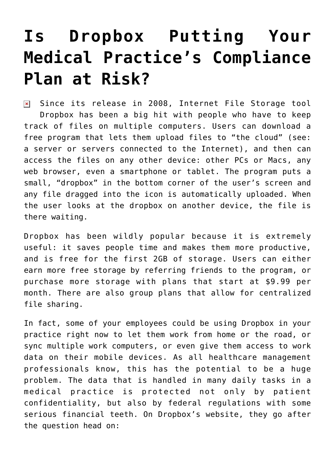## **[Is Dropbox Putting Your](https://managemypractice.com/is-dropbox-putting-your-medical-practices-compliance-plan-at-risk/) [Medical Practice's Compliance](https://managemypractice.com/is-dropbox-putting-your-medical-practices-compliance-plan-at-risk/) [Plan at Risk?](https://managemypractice.com/is-dropbox-putting-your-medical-practices-compliance-plan-at-risk/)**

 $\overline{\mathbf{x}}$  Since its release in 2008, Internet File Storage tool [Dropbox](https://www.dropbox.com/) has been a big hit with people who have to keep track of files on multiple computers. Users can download a free program that lets them upload files to "the cloud" (see: a server or servers connected to the Internet), and then can access the files on any other device: other PCs or Macs, any web browser, even a smartphone or tablet. The program puts a small, "dropbox" in the bottom corner of the user's screen and any file dragged into the icon is automatically uploaded. When the user looks at the dropbox on another device, the file is there waiting.

Dropbox has been wildly popular because it is extremely useful: it saves people time and makes them more productive, and is free for the first 2GB of storage. Users can either earn more free storage by referring friends to the program, or purchase more storage with plans that start at \$9.99 per month. There are also group plans that allow for centralized file sharing.

In fact, some of your employees could be using Dropbox in your practice right now to let them work from home or the road, or sync multiple work computers, or even give them access to work data on their mobile devices. As all healthcare management professionals know, this has the potential to be a huge problem. The data that is handled in many daily tasks in a medical practice is protected not only by patient confidentiality, but also by federal regulations with some serious financial teeth. On Dropbox's website, they [go after](https://www.dropbox.com/help/238/en) [the question head on](https://www.dropbox.com/help/238/en):